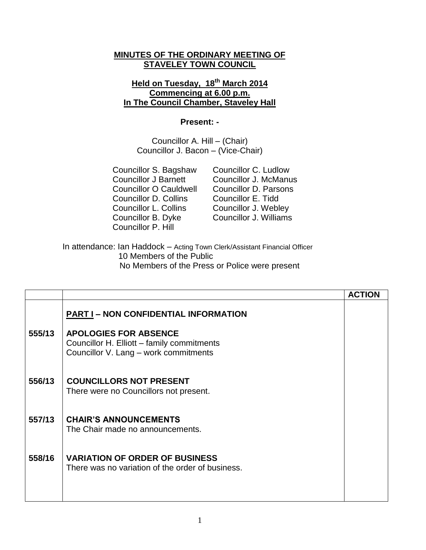## **MINUTES OF THE ORDINARY MEETING OF STAVELEY TOWN COUNCIL**

## **Held on Tuesday, 18 th March 2014 Commencing at 6.00 p.m. In The Council Chamber, Staveley Hall**

## **Present: -**

Councillor A. Hill – (Chair) Councillor J. Bacon – (Vice-Chair)

Councillor S. Bagshaw Councillor C. Ludlow Councillor O Cauldwell Councillor D. Parsons Councillor D. Collins Councillor E. Tidd Councillor L. Collins Councillor J. Webley Councillor B. Dyke Councillor J. Williams Councillor P. Hill

Councillor J Barnett Councillor J. McManus

In attendance: Ian Haddock – Acting Town Clerk/Assistant Financial Officer 10 Members of the Public No Members of the Press or Police were present

|        |                                                                                                                     | <b>ACTION</b> |
|--------|---------------------------------------------------------------------------------------------------------------------|---------------|
|        | <b>PART I - NON CONFIDENTIAL INFORMATION</b>                                                                        |               |
| 555/13 | <b>APOLOGIES FOR ABSENCE</b><br>Councillor H. Elliott – family commitments<br>Councillor V. Lang - work commitments |               |
| 556/13 | <b>COUNCILLORS NOT PRESENT</b><br>There were no Councillors not present.                                            |               |
| 557/13 | <b>CHAIR'S ANNOUNCEMENTS</b><br>The Chair made no announcements.                                                    |               |
| 558/16 | <b>VARIATION OF ORDER OF BUSINESS</b><br>There was no variation of the order of business.                           |               |
|        |                                                                                                                     |               |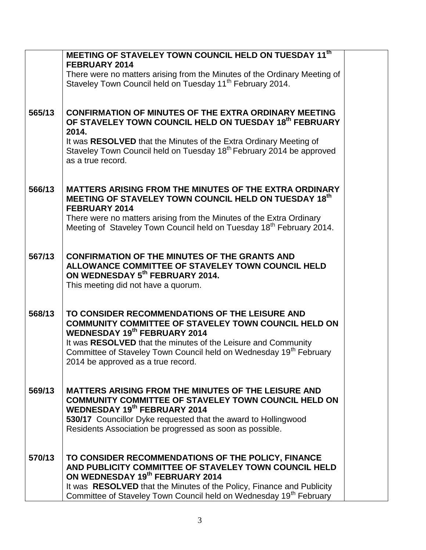|        | MEETING OF STAVELEY TOWN COUNCIL HELD ON TUESDAY 11th                                                                                                                                                                                                                                                                                  |  |
|--------|----------------------------------------------------------------------------------------------------------------------------------------------------------------------------------------------------------------------------------------------------------------------------------------------------------------------------------------|--|
|        | <b>FEBRUARY 2014</b><br>There were no matters arising from the Minutes of the Ordinary Meeting of                                                                                                                                                                                                                                      |  |
|        | Staveley Town Council held on Tuesday 11 <sup>th</sup> February 2014.                                                                                                                                                                                                                                                                  |  |
|        |                                                                                                                                                                                                                                                                                                                                        |  |
| 565/13 | <b>CONFIRMATION OF MINUTES OF THE EXTRA ORDINARY MEETING</b><br>OF STAVELEY TOWN COUNCIL HELD ON TUESDAY 18th FEBRUARY<br>2014.                                                                                                                                                                                                        |  |
|        | It was RESOLVED that the Minutes of the Extra Ordinary Meeting of<br>Staveley Town Council held on Tuesday 18 <sup>th</sup> February 2014 be approved<br>as a true record.                                                                                                                                                             |  |
| 566/13 | <b>MATTERS ARISING FROM THE MINUTES OF THE EXTRA ORDINARY</b><br>MEETING OF STAVELEY TOWN COUNCIL HELD ON TUESDAY 18th<br><b>FEBRUARY 2014</b>                                                                                                                                                                                         |  |
|        | There were no matters arising from the Minutes of the Extra Ordinary<br>Meeting of Staveley Town Council held on Tuesday 18 <sup>th</sup> February 2014.                                                                                                                                                                               |  |
| 567/13 | <b>CONFIRMATION OF THE MINUTES OF THE GRANTS AND</b><br>ALLOWANCE COMMITTEE OF STAVELEY TOWN COUNCIL HELD<br>ON WEDNESDAY 5th FEBRUARY 2014.<br>This meeting did not have a quorum.                                                                                                                                                    |  |
| 568/13 | TO CONSIDER RECOMMENDATIONS OF THE LEISURE AND<br>COMMUNITY COMMITTEE OF STAVELEY TOWN COUNCIL HELD ON<br><b>WEDNESDAY 19th FEBRUARY 2014</b><br>It was RESOLVED that the minutes of the Leisure and Community<br>Committee of Staveley Town Council held on Wednesday 19 <sup>th</sup> February<br>2014 be approved as a true record. |  |
| 569/13 | <b>MATTERS ARISING FROM THE MINUTES OF THE LEISURE AND</b><br><b>COMMUNITY COMMITTEE OF STAVELEY TOWN COUNCIL HELD ON</b><br><b>WEDNESDAY 19th FEBRUARY 2014</b><br>530/17 Councillor Dyke requested that the award to Hollingwood<br>Residents Association be progressed as soon as possible.                                         |  |
| 570/13 | TO CONSIDER RECOMMENDATIONS OF THE POLICY, FINANCE<br>AND PUBLICITY COMMITTEE OF STAVELEY TOWN COUNCIL HELD<br>ON WEDNESDAY 19th FEBRUARY 2014<br>It was RESOLVED that the Minutes of the Policy, Finance and Publicity<br>Committee of Staveley Town Council held on Wednesday 19 <sup>th</sup> February                              |  |
|        |                                                                                                                                                                                                                                                                                                                                        |  |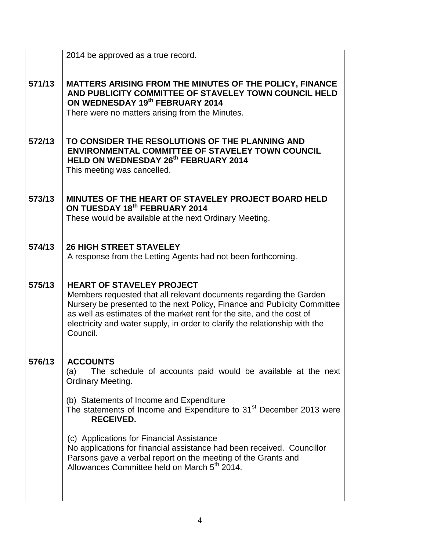|        | 2014 be approved as a true record.                                                                                                                                                                                                                                                                                                                     |  |
|--------|--------------------------------------------------------------------------------------------------------------------------------------------------------------------------------------------------------------------------------------------------------------------------------------------------------------------------------------------------------|--|
| 571/13 | MATTERS ARISING FROM THE MINUTES OF THE POLICY, FINANCE<br>AND PUBLICITY COMMITTEE OF STAVELEY TOWN COUNCIL HELD<br>ON WEDNESDAY 19th FEBRUARY 2014<br>There were no matters arising from the Minutes.                                                                                                                                                 |  |
| 572/13 | TO CONSIDER THE RESOLUTIONS OF THE PLANNING AND<br><b>ENVIRONMENTAL COMMITTEE OF STAVELEY TOWN COUNCIL</b><br>HELD ON WEDNESDAY 26th FEBRUARY 2014<br>This meeting was cancelled.                                                                                                                                                                      |  |
| 573/13 | MINUTES OF THE HEART OF STAVELEY PROJECT BOARD HELD<br>ON TUESDAY 18th FEBRUARY 2014<br>These would be available at the next Ordinary Meeting.                                                                                                                                                                                                         |  |
| 574/13 | <b>26 HIGH STREET STAVELEY</b><br>A response from the Letting Agents had not been forthcoming.                                                                                                                                                                                                                                                         |  |
| 575/13 | <b>HEART OF STAVELEY PROJECT</b><br>Members requested that all relevant documents regarding the Garden<br>Nursery be presented to the next Policy, Finance and Publicity Committee<br>as well as estimates of the market rent for the site, and the cost of<br>electricity and water supply, in order to clarify the relationship with the<br>Council. |  |
| 576/13 | <b>ACCOUNTS</b><br>The schedule of accounts paid would be available at the next<br>(a)<br><b>Ordinary Meeting.</b>                                                                                                                                                                                                                                     |  |
|        | (b) Statements of Income and Expenditure<br>The statements of Income and Expenditure to 31 <sup>st</sup> December 2013 were<br><b>RECEIVED.</b>                                                                                                                                                                                                        |  |
|        | (c) Applications for Financial Assistance<br>No applications for financial assistance had been received. Councillor<br>Parsons gave a verbal report on the meeting of the Grants and<br>Allowances Committee held on March 5th 2014.                                                                                                                   |  |
|        |                                                                                                                                                                                                                                                                                                                                                        |  |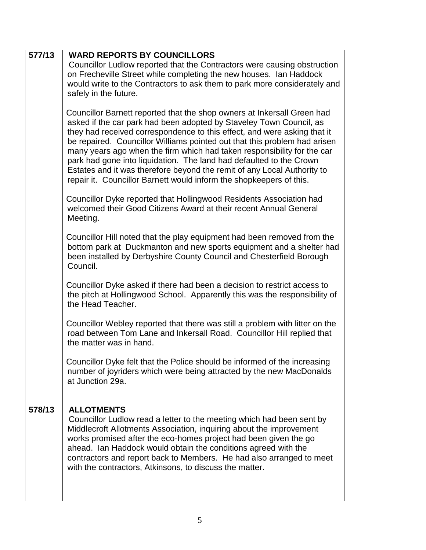| 577/13 | <b>WARD REPORTS BY COUNCILLORS</b><br>Councillor Ludlow reported that the Contractors were causing obstruction<br>on Frecheville Street while completing the new houses. Ian Haddock<br>would write to the Contractors to ask them to park more considerately and<br>safely in the future.                                                                                                                                                                                                                                                                                                                  |  |
|--------|-------------------------------------------------------------------------------------------------------------------------------------------------------------------------------------------------------------------------------------------------------------------------------------------------------------------------------------------------------------------------------------------------------------------------------------------------------------------------------------------------------------------------------------------------------------------------------------------------------------|--|
|        | Councillor Barnett reported that the shop owners at Inkersall Green had<br>asked if the car park had been adopted by Staveley Town Council, as<br>they had received correspondence to this effect, and were asking that it<br>be repaired. Councillor Williams pointed out that this problem had arisen<br>many years ago when the firm which had taken responsibility for the car<br>park had gone into liquidation. The land had defaulted to the Crown<br>Estates and it was therefore beyond the remit of any Local Authority to<br>repair it. Councillor Barnett would inform the shopkeepers of this. |  |
|        | Councillor Dyke reported that Hollingwood Residents Association had<br>welcomed their Good Citizens Award at their recent Annual General<br>Meeting.                                                                                                                                                                                                                                                                                                                                                                                                                                                        |  |
|        | Councillor Hill noted that the play equipment had been removed from the<br>bottom park at Duckmanton and new sports equipment and a shelter had<br>been installed by Derbyshire County Council and Chesterfield Borough<br>Council.                                                                                                                                                                                                                                                                                                                                                                         |  |
|        | Councillor Dyke asked if there had been a decision to restrict access to<br>the pitch at Hollingwood School. Apparently this was the responsibility of<br>the Head Teacher.                                                                                                                                                                                                                                                                                                                                                                                                                                 |  |
|        | Councillor Webley reported that there was still a problem with litter on the<br>road between Tom Lane and Inkersall Road. Councillor Hill replied that<br>the matter was in hand.                                                                                                                                                                                                                                                                                                                                                                                                                           |  |
|        | Councillor Dyke felt that the Police should be informed of the increasing<br>number of joyriders which were being attracted by the new MacDonalds<br>at Junction 29a.                                                                                                                                                                                                                                                                                                                                                                                                                                       |  |
| 578/13 | <b>ALLOTMENTS</b><br>Councillor Ludlow read a letter to the meeting which had been sent by<br>Middlecroft Allotments Association, inquiring about the improvement<br>works promised after the eco-homes project had been given the go<br>ahead. Ian Haddock would obtain the conditions agreed with the<br>contractors and report back to Members. He had also arranged to meet<br>with the contractors, Atkinsons, to discuss the matter.                                                                                                                                                                  |  |